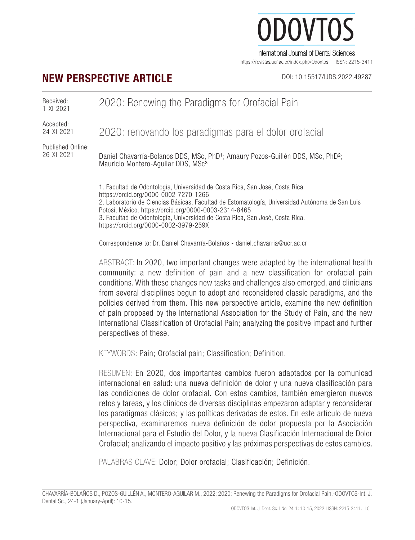# ODOVTOS-International Journal of Dental Sciences *Chavarría-Bolaños et al:* 2020: Renewing the Paradigms for Orofacial Pain )()VI International Journal of Dental Sciences

https://revistas.ucr.ac.cr/index.php/Odontos | ISSN: 2215-3411

## **NEW PERSPECTIVE ARTICLE** DOI: 10.15517/IJDS.2022.49287

Received: 1-XI-2021 2020: Renewing the Paradigms for Orofacial Pain

Accepted: 24-XI-2021

2020: renovando los paradigmas para el dolor orofacial

Published Online: 26-XI-2021

Daniel Chavarría-Bolanos DDS, MSc, PhD<sup>1</sup>; Amaury Pozos-Guillén DDS, MSc, PhD<sup>2</sup>; Mauricio Montero-Aguilar DDS, MSc<sup>3</sup>

1. Facultad de Odontología, Universidad de Costa Rica, San José, Costa Rica. https://orcid.org/0000-0002-7270-1266 2. Laboratorio de Ciencias Básicas, Facultad de Estomatología, Universidad Autónoma de San Luis Potosí, México. https://orcid.org/0000-0003-2314-8465 3. Facultad de Odontología, Universidad de Costa Rica, San José, Costa Rica. https://orcid.org/0000-0002-3979-259X

Correspondence to: Dr. Daniel Chavarría-Bolaños - daniel.chavarria@ucr.ac.cr

ABSTRACT: In 2020, two important changes were adapted by the international health community: a new definition of pain and a new classification for orofacial pain conditions. With these changes new tasks and challenges also emerged, and clinicians from several disciplines begun to adopt and reconsidered classic paradigms, and the policies derived from them. This new perspective article, examine the new definition of pain proposed by the International Association for the Study of Pain, and the new International Classification of Orofacial Pain; analyzing the positive impact and further perspectives of these.

KEYWORDS: Pain; Orofacial pain; Classification; Definition.

RESUMEN: En 2020, dos importantes cambios fueron adaptados por la comunicad internacional en salud: una nueva definición de dolor y una nueva clasificación para las condiciones de dolor orofacial. Con estos cambios, también emergieron nuevos retos y tareas, y los clínicos de diversas disciplinas empezaron adaptar y reconsiderar los paradigmas clásicos; y las políticas derivadas de estos. En este artículo de nueva perspectiva, examinaremos nueva definición de dolor propuesta por la Asociación Internacional para el Estudio del Dolor, y la nueva Clasificación Internacional de Dolor Orofacial; analizando el impacto positivo y las próximas perspectivas de estos cambios.

PALABRAS CLAVE: Dolor; Dolor orofacial; Clasificación; Definición.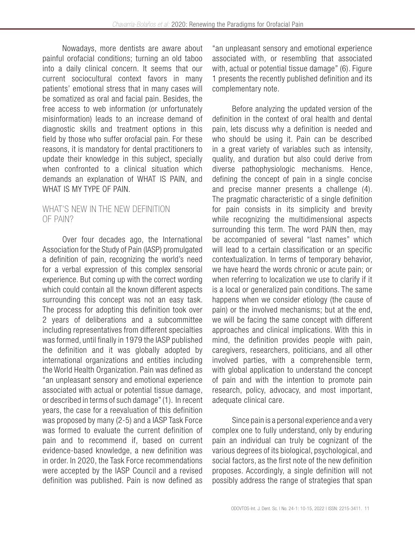Nowadays, more dentists are aware about painful orofacial conditions; turning an old taboo into a daily clinical concern. It seems that our current sociocultural context favors in many patients' emotional stress that in many cases will be somatized as oral and facial pain. Besides, the free access to web information (or unfortunately misinformation) leads to an increase demand of diagnostic skills and treatment options in this field by those who suffer orofacial pain. For these reasons, it is mandatory for dental practitioners to update their knowledge in this subject, specially when confronted to a clinical situation which demands an explanation of WHAT IS PAIN, and WHAT IS MY TYPE OF PAIN.

#### WHAT'S NEW IN THE NEW DEFINITION OF PAIN?

Over four decades ago, the International Association for the Study of Pain (IASP) promulgated a definition of pain, recognizing the world's need for a verbal expression of this complex sensorial experience. But coming up with the correct wording which could contain all the known different aspects surrounding this concept was not an easy task. The process for adopting this definition took over 2 years of deliberations and a subcommittee including representatives from different specialties was formed, until finally in 1979 the IASP published the definition and it was globally adopted by international organizations and entities including the World Health Organization. Pain was defined as "an unpleasant sensory and emotional experience associated with actual or potential tissue damage, or described in terms of such damage" (1). In recent years, the case for a reevaluation of this definition was proposed by many (2-5) and a IASP Task Force was formed to evaluate the current definition of pain and to recommend if, based on current evidence-based knowledge, a new definition was in order. In 2020, the Task Force recommendations were accepted by the IASP Council and a revised definition was published. Pain is now defined as

"an unpleasant sensory and emotional experience associated with, or resembling that associated with, actual or potential tissue damage" (6). Figure 1 presents the recently published definition and its complementary note.

Before analyzing the updated version of the definition in the context of oral health and dental pain, lets discuss why a definition is needed and who should be using it. Pain can be described in a great variety of variables such as intensity, quality, and duration but also could derive from diverse pathophysiologic mechanisms. Hence, defining the concept of pain in a single concise and precise manner presents a challenge (4). The pragmatic characteristic of a single definition for pain consists in its simplicity and brevity while recognizing the multidimensional aspects surrounding this term. The word PAIN then, may be accompanied of several "last names" which will lead to a certain classification or an specific contextualization. In terms of temporary behavior, we have heard the words chronic or acute pain; or when referring to localization we use to clarify if it is a local or generalized pain conditions. The same happens when we consider etiology (the cause of pain) or the involved mechanisms; but at the end, we will be facing the same concept with different approaches and clinical implications. With this in mind, the definition provides people with pain, caregivers, researchers, politicians, and all other involved parties, with a comprehensible term, with global application to understand the concept of pain and with the intention to promote pain research, policy, advocacy, and most important, adequate clinical care.

Since pain is a personal experience and a very complex one to fully understand, only by enduring pain an individual can truly be cognizant of the various degrees of its biological, psychological, and social factors, as the first note of the new definition proposes. Accordingly, a single definition will not possibly address the range of strategies that span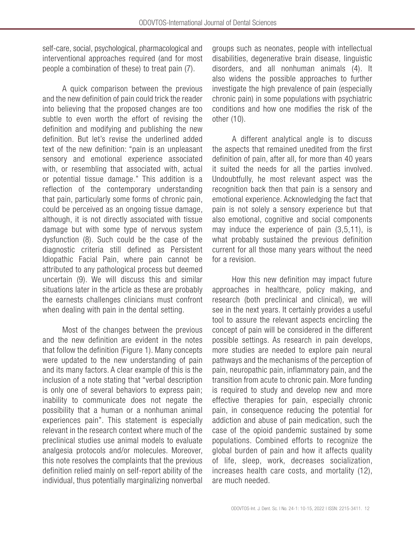self-care, social, psychological, pharmacological and interventional approaches required (and for most people a combination of these) to treat pain (7).

A quick comparison between the previous and the new definition of pain could trick the reader into believing that the proposed changes are too subtle to even worth the effort of revising the definition and modifying and publishing the new definition. But let's revise the underlined added text of the new definition: "pain is an unpleasant sensory and emotional experience associated with, or resembling that associated with, actual or potential tissue damage." This addition is a reflection of the contemporary understanding that pain, particularly some forms of chronic pain, could be perceived as an ongoing tissue damage, although, it is not directly associated with tissue damage but with some type of nervous system dysfunction (8). Such could be the case of the diagnostic criteria still defined as Persistent Idiopathic Facial Pain, where pain cannot be attributed to any pathological process but deemed uncertain (9). We will discuss this and similar situations later in the article as these are probably the earnests challenges clinicians must confront when dealing with pain in the dental setting.

Most of the changes between the previous and the new definition are evident in the notes that follow the definition (Figure 1). Many concepts were updated to the new understanding of pain and its many factors. A clear example of this is the inclusion of a note stating that "verbal description is only one of several behaviors to express pain; inability to communicate does not negate the possibility that a human or a nonhuman animal experiences pain". This statement is especially relevant in the research context where much of the preclinical studies use animal models to evaluate analgesia protocols and/or molecules. Moreover, this note resolves the complaints that the previous definition relied mainly on self-report ability of the individual, thus potentially marginalizing nonverbal groups such as neonates, people with intellectual disabilities, degenerative brain disease, linguistic disorders, and all nonhuman animals (4). It also widens the possible approaches to further investigate the high prevalence of pain (especially chronic pain) in some populations with psychiatric conditions and how one modifies the risk of the other (10).

A different analytical angle is to discuss the aspects that remained unedited from the first definition of pain, after all, for more than 40 years it suited the needs for all the parties involved. Undoubtfully, he most relevant aspect was the recognition back then that pain is a sensory and emotional experience. Acknowledging the fact that pain is not solely a sensory experience but that also emotional, cognitive and social components may induce the experience of pain (3,5,11), is what probably sustained the previous definition current for all those many years without the need for a revision.

How this new definition may impact future approaches in healthcare, policy making, and research (both preclinical and clinical), we will see in the next years. It certainly provides a useful tool to assure the relevant aspects encircling the concept of pain will be considered in the different possible settings. As research in pain develops, more studies are needed to explore pain neural pathways and the mechanisms of the perception of pain, neuropathic pain, inflammatory pain, and the transition from acute to chronic pain. More funding is required to study and develop new and more effective therapies for pain, especially chronic pain, in consequence reducing the potential for addiction and abuse of pain medication, such the case of the opioid pandemic sustained by some populations. Combined efforts to recognize the global burden of pain and how it affects quality of life, sleep, work, decreases socialization, increases health care costs, and mortality (12), are much needed.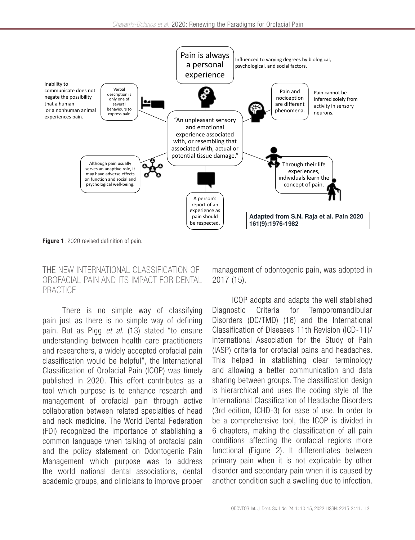

Figure 1. 2020 revised definition of pain.

#### THE NEW INTERNATIONAL CLASSIFICATION OF OROFACIAL PAIN AND ITS IMPACT FOR DENTAL PRACTICE

There is no simple way of classifying pain just as there is no simple way of defining pain. But as Pigg *et al*. (13) stated "to ensure understanding between health care practitioners and researchers, a widely accepted orofacial pain classification would be helpful", the International Classification of Orofacial Pain (ICOP) was timely published in 2020. This effort contributes as a tool which purpose is to enhance research and management of orofacial pain through active collaboration between related specialties of head and neck medicine. The World Dental Federation (FDI) recognized the importance of stablishing a common language when talking of orofacial pain and the policy statement on Odontogenic Pain Management which purpose was to address the world national dental associations, dental academic groups, and clinicians to improve proper management of odontogenic pain, was adopted in 2017 (15).

ICOP adopts and adapts the well stablished Diagnostic Criteria for Temporomandibular Disorders (DC/TMD) (16) and the International Classification of Diseases 11th Revision (ICD-11)/ International Association for the Study of Pain (IASP) criteria for orofacial pains and headaches. This helped in stablishing clear terminology and allowing a better communication and data sharing between groups. The classification design is hierarchical and uses the coding style of the International Classification of Headache Disorders (3rd edition, ICHD-3) for ease of use. In order to be a comprehensive tool, the ICOP is divided in 6 chapters, making the classification of all pain conditions affecting the orofacial regions more functional (Figure 2). It differentiates between primary pain when it is not explicable by other disorder and secondary pain when it is caused by another condition such a swelling due to infection.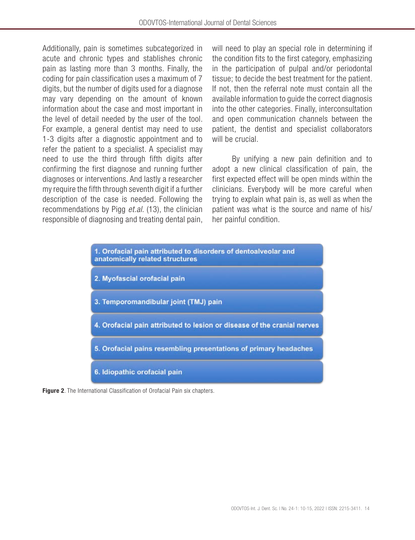Additionally, pain is sometimes subcategorized in acute and chronic types and stablishes chronic pain as lasting more than 3 months. Finally, the coding for pain classification uses a maximum of 7 digits, but the number of digits used for a diagnose may vary depending on the amount of known information about the case and most important in the level of detail needed by the user of the tool. For example, a general dentist may need to use 1-3 digits after a diagnostic appointment and to refer the patient to a specialist. A specialist may need to use the third through fifth digits after confirming the first diagnose and running further diagnoses or interventions. And lastly a researcher my require the fifth through seventh digit if a further description of the case is needed. Following the recommendations by Pigg *et.al*. (13), the clinician responsible of diagnosing and treating dental pain,

will need to play an special role in determining if the condition fits to the first category, emphasizing in the participation of pulpal and/or periodontal tissue; to decide the best treatment for the patient. If not, then the referral note must contain all the available information to guide the correct diagnosis into the other categories. Finally, interconsultation and open communication channels between the patient, the dentist and specialist collaborators will be crucial.

By unifying a new pain definition and to adopt a new clinical classification of pain, the first expected effect will be open minds within the clinicians. Everybody will be more careful when trying to explain what pain is, as well as when the patient was what is the source and name of his/ her painful condition.



Figure 2. The International Classification of Orofacial Pain six chapters.